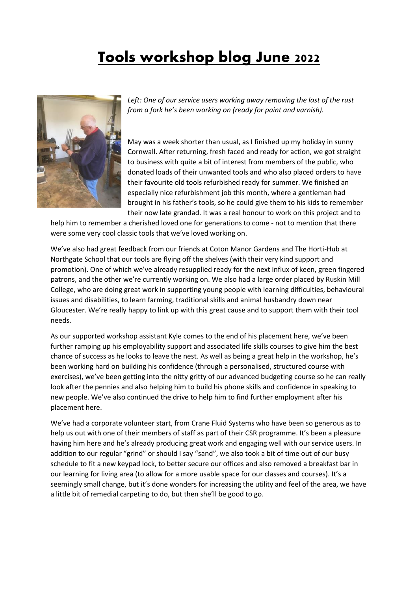## **Tools workshop blog June 2022**



Left: One of our service users working away removing the last of the rust *from a fork he's been working on (ready for paint and varnish).*

May was a week shorter than usual, as I finished up my holiday in sunny Cornwall. After returning, fresh faced and ready for action, we got straight to business with quite a bit of interest from members of the public, who donated loads of their unwanted tools and who also placed orders to have their favourite old tools refurbished ready for summer. We finished an especially nice refurbishment job this month, where a gentleman had brought in his father's tools, so he could give them to his kids to remember their now late grandad. It was a real honour to work on this project and to

help him to remember a cherished loved one for generations to come - not to mention that there were some very cool classic tools that we've loved working on.

We've also had great feedback from our friends at Coton Manor Gardens and The Horti-Hub at Northgate School that our tools are flying off the shelves (with their very kind support and promotion). One of which we've already resupplied ready for the next influx of keen, green fingered patrons, and the other we're currently working on. We also had a large order placed by Ruskin Mill College, who are doing great work in supporting young people with learning difficulties, behavioural issues and disabilities, to learn farming, traditional skills and animal husbandry down near Gloucester. We're really happy to link up with this great cause and to support them with their tool needs.

As our supported workshop assistant Kyle comes to the end of his placement here, we've been further ramping up his employability support and associated life skills courses to give him the best chance of success as he looks to leave the nest. As well as being a great help in the workshop, he's been working hard on building his confidence (through a personalised, structured course with exercises), we've been getting into the nitty gritty of our advanced budgeting course so he can really look after the pennies and also helping him to build his phone skills and confidence in speaking to new people. We've also continued the drive to help him to find further employment after his placement here.

We've had a corporate volunteer start, from Crane Fluid Systems who have been so generous as to help us out with one of their members of staff as part of their CSR programme. It's been a pleasure having him here and he's already producing great work and engaging well with our service users. In addition to our regular "grind" or should I say "sand", we also took a bit of time out of our busy schedule to fit a new keypad lock, to better secure our offices and also removed a breakfast bar in our learning for living area (to allow for a more usable space for our classes and courses). It's a seemingly small change, but it's done wonders for increasing the utility and feel of the area, we have a little bit of remedial carpeting to do, but then she'll be good to go.